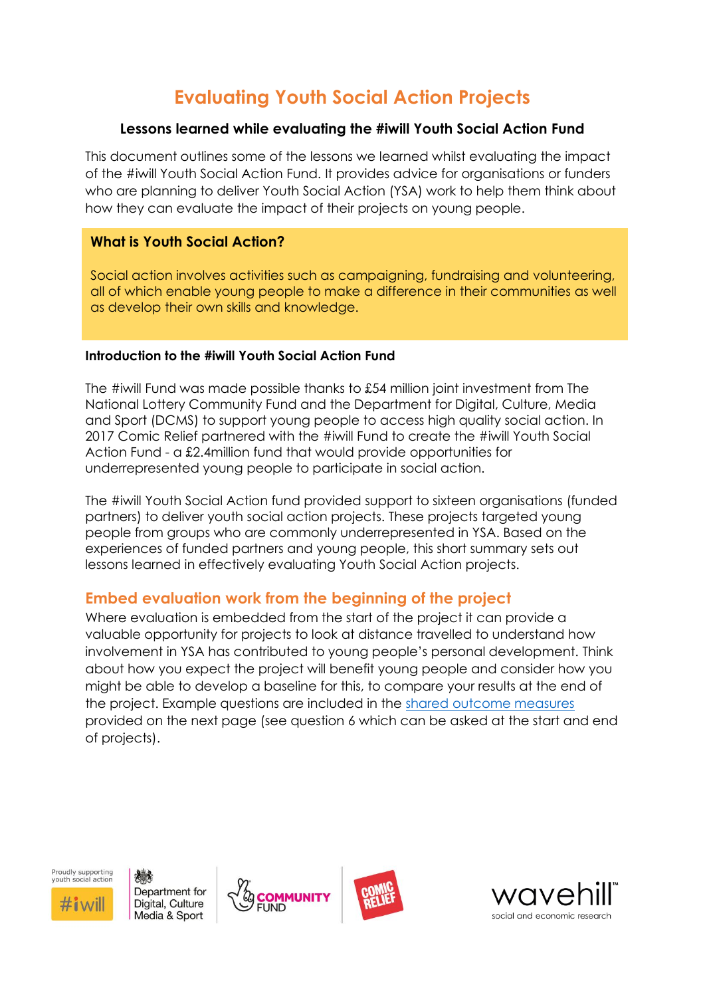# **Evaluating Youth Social Action Projects**

#### **Lessons learned while evaluating the #iwill Youth Social Action Fund**

This document outlines some of the lessons we learned whilst evaluating the impact of the #iwill Youth Social Action Fund. It provides advice for organisations or funders who are planning to deliver Youth Social Action (YSA) work to help them think about how they can evaluate the impact of their projects on young people.

## **What is Youth Social Action?**

Social action involves activities such as campaigning, fundraising and volunteering, all of which enable young people to make a difference in their communities as well as develop their own skills and knowledge.

#### **Introduction to the #iwill Youth Social Action Fund**

The #iwill Fund was made possible thanks to £54 million joint investment from The National Lottery Community Fund and the Department for Digital, Culture, Media and Sport (DCMS) to support young people to access high quality social action. In 2017 Comic Relief partnered with the #iwill Fund to create the #iwill Youth Social Action Fund - a £2.4million fund that would provide opportunities for underrepresented young people to participate in social action.

The #iwill Youth Social Action fund provided support to sixteen organisations (funded partners) to deliver youth social action projects. These projects targeted young people from groups who are commonly underrepresented in YSA. Based on the experiences of funded partners and young people, this short summary sets out lessons learned in effectively evaluating Youth Social Action projects.

# **Embed evaluation work from the beginning of the project**

Where evaluation is embedded from the start of the project it can provide a valuable opportunity for projects to look at distance travelled to understand how involvement in YSA has contributed to young people's personal development. Think about how you expect the project will benefit young people and consider how you might be able to develop a baseline for this, to compare your results at the end of the project. Example questions are included in the [shared outcome measures](#page-4-0) provided on the next page (see question 6 which can be asked at the start and end of projects).



人民 Department for Digital, Culture Media & Sport





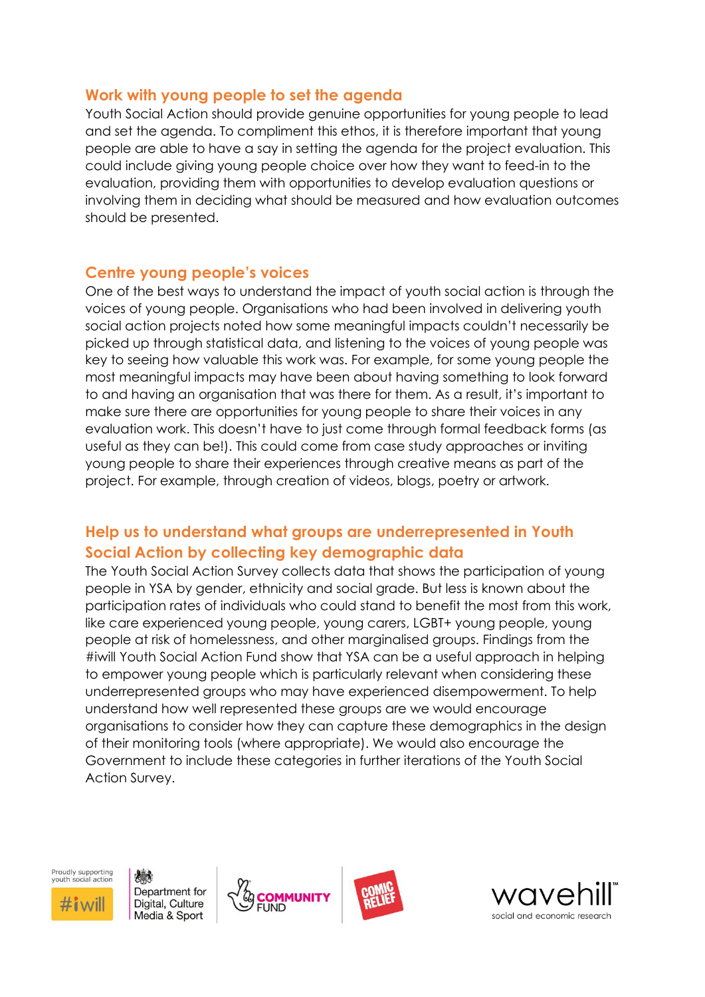### **Work with young people to set the agenda**

Youth Social Action should provide genuine opportunities for young people to lead and set the agenda. To compliment this ethos, it is therefore important that young people are able to have a say in setting the agenda for the project evaluation. This could include giving young people choice over how they want to feed-in to the evaluation, providing them with opportunities to develop evaluation questions or involving them in deciding what should be measured and how evaluation outcomes should be presented.

### **Centre young people's voices**

One of the best ways to understand the impact of youth social action is through the voices of young people. Organisations who had been involved in delivering youth social action projects noted how some meaningful impacts couldn't necessarily be picked up through statistical data, and listening to the voices of young people was key to seeing how valuable this work was. For example, for some young people the most meaningful impacts may have been about having something to look forward to and having an organisation that was there for them. As a result, it's important to make sure there are opportunities for young people to share their voices in any evaluation work. This doesn't have to just come through formal feedback forms (as useful as they can be!). This could come from case study approaches or inviting young people to share their experiences through creative means as part of the project. For example, through creation of videos, blogs, poetry or artwork.

# **Help us to understand what groups are underrepresented in Youth Social Action by collecting key demographic data**

The Youth Social Action Survey collects data that shows the participation of young people in YSA by gender, ethnicity and social grade. But less is known about the participation rates of individuals who could stand to benefit the most from this work, like care experienced young people, young carers, LGBT+ young people, young people at risk of homelessness, and other marginalised groups. Findings from the #iwill Youth Social Action Fund show that YSA can be a useful approach in helping to empower young people which is particularly relevant when considering these underrepresented groups who may have experienced disempowerment. To help understand how well represented these groups are we would encourage organisations to consider how they can capture these demographics in the design of their monitoring tools (where appropriate). We would also encourage the Government to include these categories in further iterations of the Youth Social Action Survey.



人民 Department for Digital, Culture Media & Sport





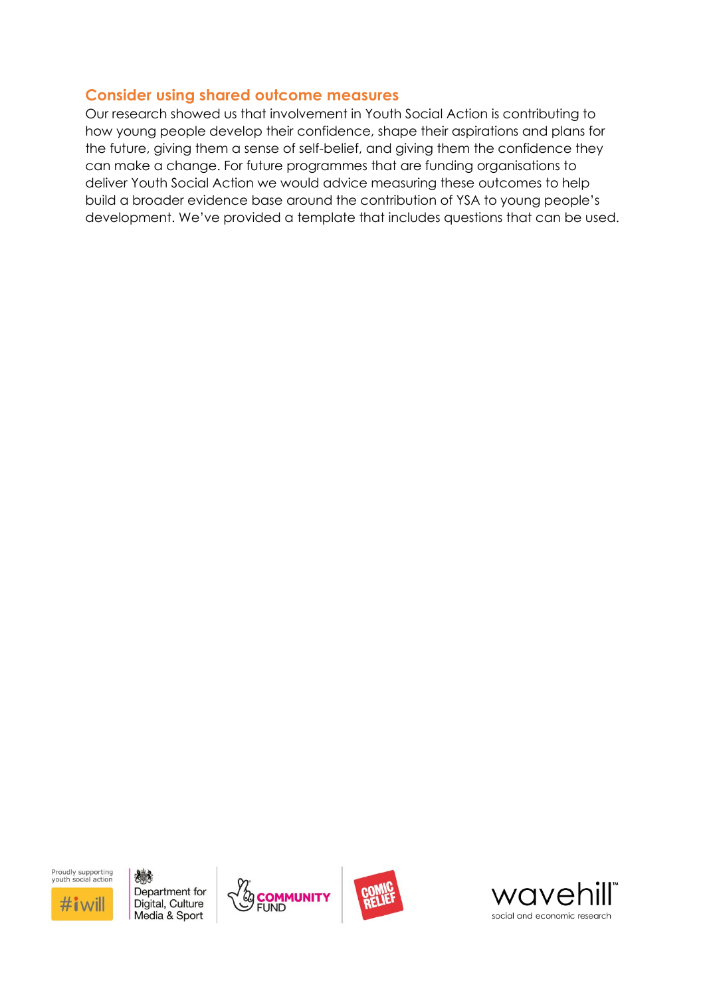# **Consider using shared outcome measures**

Our research showed us that involvement in Youth Social Action is contributing to how young people develop their confidence, shape their aspirations and plans for the future, giving them a sense of self-belief, and giving them the confidence they can make a change. For future programmes that are funding organisations to deliver Youth Social Action we would advice measuring these outcomes to help build a broader evidence base around the contribution of YSA to young people's development. We've provided a template that includes questions that can be used.

Proudly supporting<br>vouth social action

 $\#$ i $\le$ 

想象 Department for Digital, Culture Media & Sport





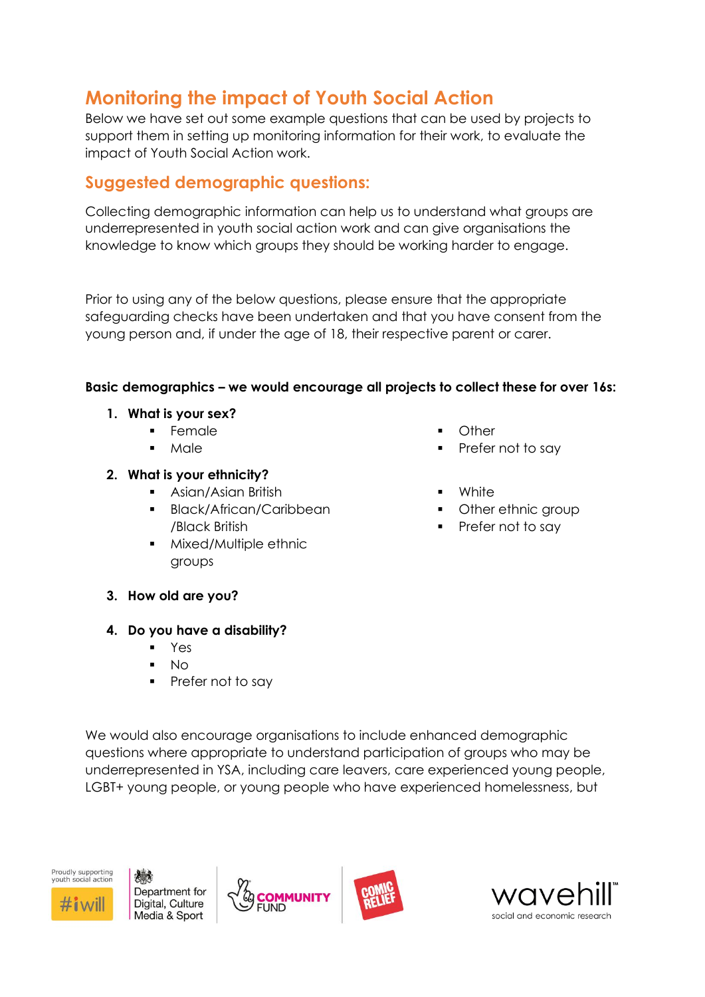# **Monitoring the impact of Youth Social Action**

Below we have set out some example questions that can be used by projects to support them in setting up monitoring information for their work, to evaluate the impact of Youth Social Action work.

# **Suggested demographic questions:**

Collecting demographic information can help us to understand what groups are underrepresented in youth social action work and can give organisations the knowledge to know which groups they should be working harder to engage.

Prior to using any of the below questions, please ensure that the appropriate safeguarding checks have been undertaken and that you have consent from the young person and, if under the age of 18, their respective parent or carer.

### **Basic demographics – we would encourage all projects to collect these for over 16s:**

- **1. What is your sex?**
	- **Female**
	- **Male**

#### **2. What is your ethnicity?**

- Asian/Asian British
- Black/African/Caribbean /Black British
- Mixed/Multiple ethnic groups
- **Other**
- Prefer not to say
- **White**
- Other ethnic group
- Prefer not to say

**3. How old are you?**

### **4. Do you have a disability?**

- **Yes**
- $N<sub>O</sub>$
- Prefer not to say

We would also encourage organisations to include enhanced demographic questions where appropriate to understand participation of groups who may be underrepresented in YSA, including care leavers, care experienced young people, LGBT+ young people, or young people who have experienced homelessness, but



Department for Digital, Culture Media & Sport





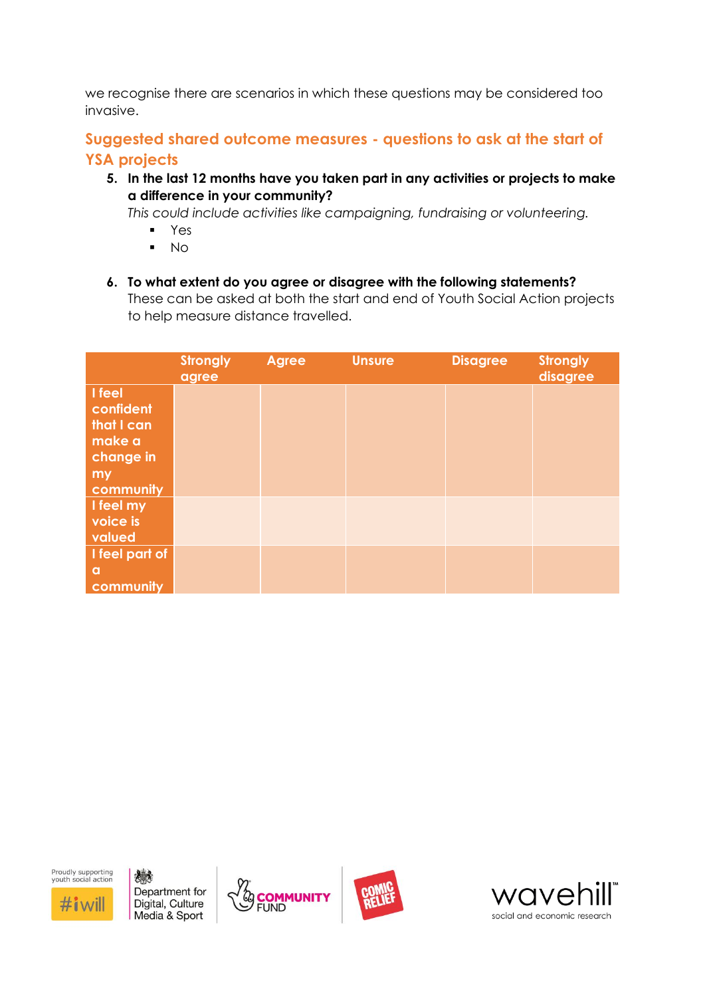we recognise there are scenarios in which these questions may be considered too invasive.

# <span id="page-4-0"></span>**Suggested shared outcome measures - questions to ask at the start of YSA projects**

**5. In the last 12 months have you taken part in any activities or projects to make a difference in your community?**

*This could include activities like campaigning, fundraising or volunteering.*

- Yes
- No
- **6. To what extent do you agree or disagree with the following statements?** These can be asked at both the start and end of Youth Social Action projects to help measure distance travelled.

|                                                                             | <b>Strongly</b><br>agree | <b>Agree</b> | <b>Unsure</b> | <b>Disagree</b> | <b>Strongly</b><br>disagree |
|-----------------------------------------------------------------------------|--------------------------|--------------|---------------|-----------------|-----------------------------|
| I feel<br>confident<br>that I can<br>make a<br>change in<br>my<br>community |                          |              |               |                 |                             |
| I feel my<br>voice is<br>valued                                             |                          |              |               |                 |                             |
| I feel part of<br>a<br>community                                            |                          |              |               |                 |                             |

Proudly supporting<br>vouth social action

 $\#$ i wil

機 Department for Digital, Culture Media & Sport